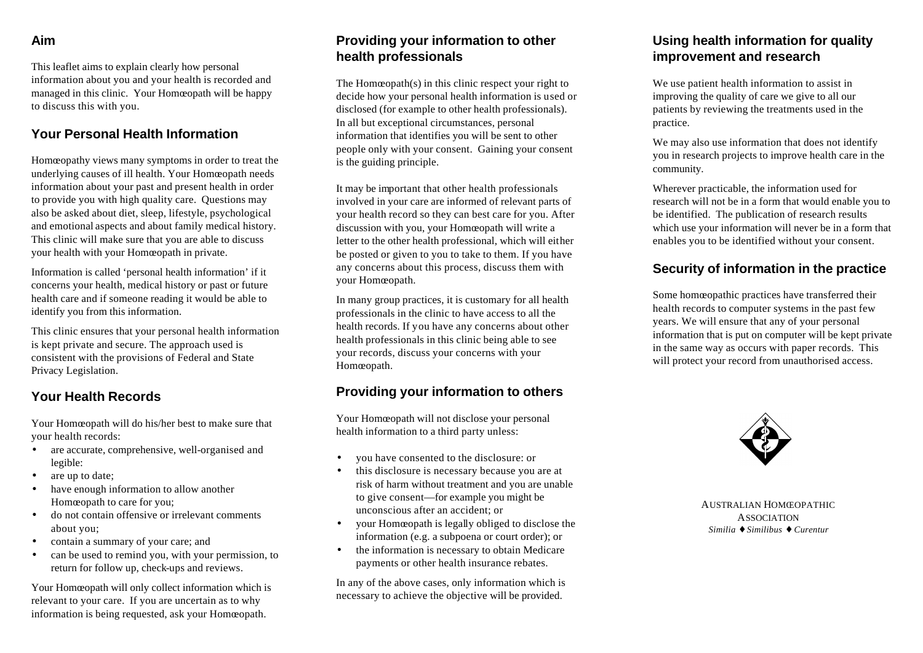### **Aim**

This leaflet aims to explain clearly how personal information about you and your health is recorded and managed in this clinic. Your Homœopath will be happy to discuss this with you.

#### **Your Personal Health Information**

Homœopathy views many symptoms in order to treat the underlying causes of ill health. Your Homœopath needs information about your past and present health in order to provide you with high quality care. Questions may also be asked about diet, sleep, lifestyle, psychological and emotional aspects and about family medical history. This clinic will make sure that you are able to discuss your health with your Homœopath in private.

Information is called 'personal health information' if it concerns your health, medical history or past or future health care and if someone reading it would be able to identify you from this information.

This clinic ensures that your personal health information is kept private and secure. The approach used is consistent with the provisions of Federal and State Privacy Legislation.

### **Your Health Records**

Your Homœopath will do his/her best to make sure that your health records:

- are accurate, comprehensive, well-organised and legible:
- are up to date:
- have enough information to allow another Homœopath to care for you;
- do not contain offensive or irrelevant comments about you;
- contain a summary of your care; and
- can be used to remind you, with your permission, to return for follow up, check-ups and reviews.

Your Homœopath will only collect information which is relevant to your care. If you are uncertain as to why information is being requested, ask your Homœopath.

### **Providing your information to other health professionals**

The Homœopath(s) in this clinic respect your right to decide how your personal health information is used or disclosed (for example to other health professionals). In all but exceptional circumstances, personal information that identifies you will be sent to other people only with your consent. Gaining your consent is the guiding principle.

It may be important that other health professionals involved in your care are informed of relevant parts of your health record so they can best care for you. After discussion with you, your Homœopath will write a letter to the other health professional, which will either be posted or given to you to take to them. If you have any concerns about this process, discuss them with your Homœopath.

In many group practices, it is customary for all health professionals in the clinic to have access to all the health records. If you have any concerns about other health professionals in this clinic being able to see your records, discuss your concerns with your Homœopath.

### **Providing your information to others**

Your Homœopath will not disclose your personal health information to a third party unless:

- you have consented to the disclosure: or
- this disclosure is necessary because you are at risk of harm without treatment and you are unable to give consent—for example you might be unconscious after an accident; or
- your Homœopath is legally obliged to disclose the information (e.g. a subpoena or court order); or
- the information is necessary to obtain Medicare payments or other health insurance rebates.

In any of the above cases, only information which is necessary to achieve the objective will be provided.

## **Using health information for quality improvement and research**

We use patient health information to assist in improving the quality of care we give to all our patients by reviewing the treatments used in the practice.

We may also use information that does not identify you in research projects to improve health care in the community.

Wherever practicable, the information used for research will not be in a form that would enable you to be identified. The publication of research results which use your information will never be in a form that enables you to be identified without your consent.

### **Security of information in the practice**

Some homœopathic practices have transferred their health records to computer systems in the past few years. We will ensure that any of your personal information that is put on computer will be kept private in the same way as occurs with paper records. This will protect your record from unauthorised access.



AUSTRALIAN HOMŒOPATHIC **ASSOCIATION** *Similia ¨ Similibus ¨ Curentur*